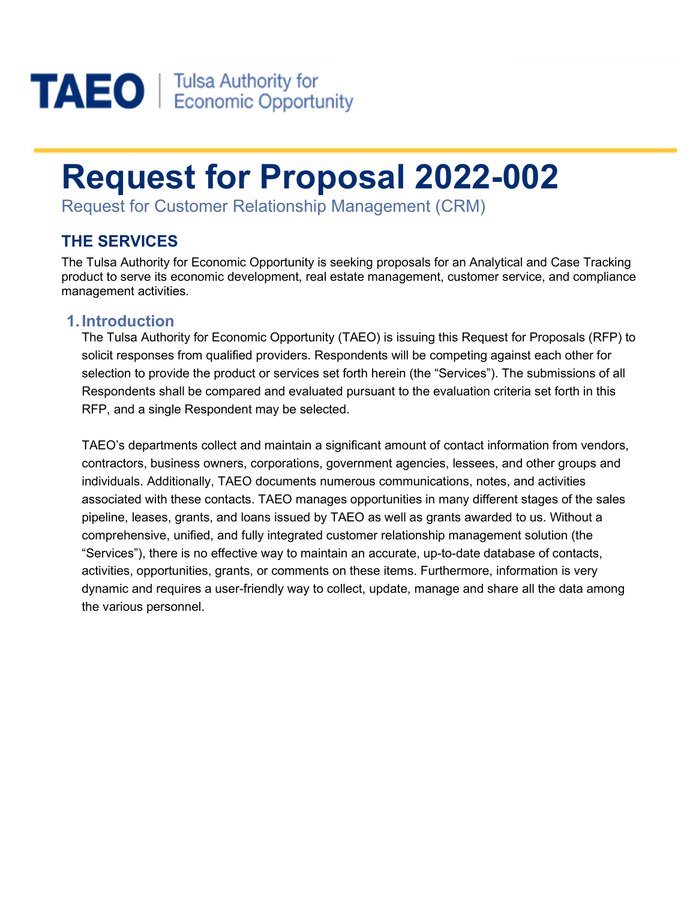

# Request for Proposal 2022-002

Request for Customer Relationship Management (CRM)

# THE SERVICES

The Tulsa Authority for Economic Opportunity is seeking proposals for an Analytical and Case Tracking product to serve its economic development, real estate management, customer service, and compliance management activities.

#### 1. Introduction

The Tulsa Authority for Economic Opportunity (TAEO) is issuing this Request for Proposals (RFP) to solicit responses from qualified providers. Respondents will be competing against each other for selection to provide the product or services set forth herein (the "Services"). The submissions of all Respondents shall be compared and evaluated pursuant to the evaluation criteria set forth in this RFP, and a single Respondent may be selected.

TAEO's departments collect and maintain a significant amount of contact information from vendors, contractors, business owners, corporations, government agencies, lessees, and other groups and individuals. Additionally, TAEO documents numerous communications, notes, and activities associated with these contacts. TAEO manages opportunities in many different stages of the sales pipeline, leases, grants, and loans issued by TAEO as well as grants awarded to us. Without a comprehensive, unified, and fully integrated customer relationship management solution (the "Services"), there is no effective way to maintain an accurate, up-to-date database of contacts, activities, opportunities, grants, or comments on these items. Furthermore, information is very dynamic and requires a user-friendly way to collect, update, manage and share all the data among the various personnel.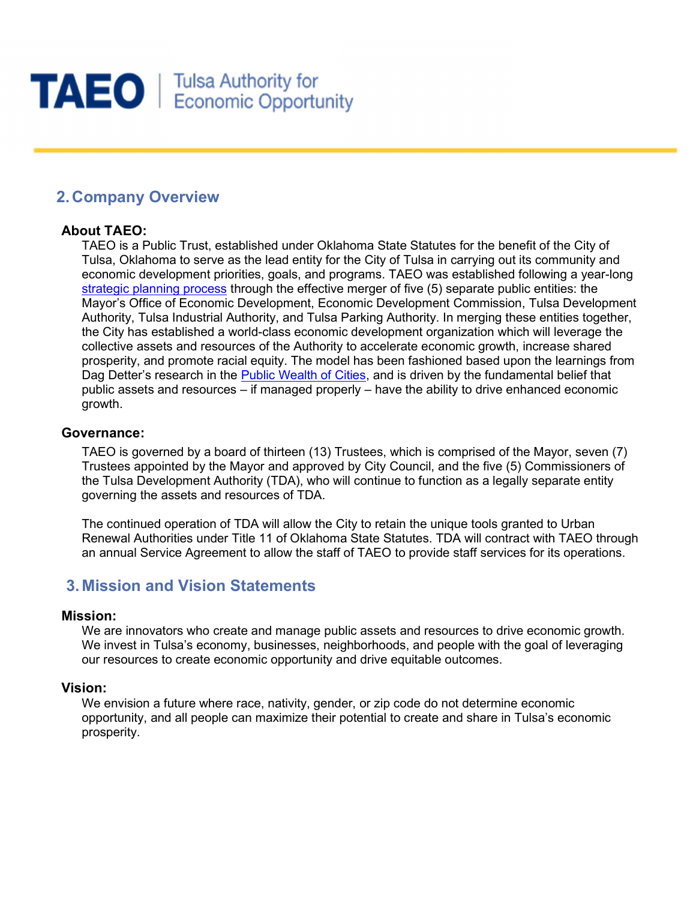

# 2. Company Overview

#### About TAEO:

TAEO is a Public Trust, established under Oklahoma State Statutes for the benefit of the City of Tulsa, Oklahoma to serve as the lead entity for the City of Tulsa in carrying out its community and economic development priorities, goals, and programs. TAEO was established following a year-long strategic planning process through the effective merger of five (5) separate public entities: the Mayor's Office of Economic Development, Economic Development Commission, Tulsa Development Authority, Tulsa Industrial Authority, and Tulsa Parking Authority. In merging these entities together, the City has established a world-class economic development organization which will leverage the collective assets and resources of the Authority to accelerate economic growth, increase shared prosperity, and promote racial equity. The model has been fashioned based upon the learnings from Dag Detter's research in the Public Wealth of Cities, and is driven by the fundamental belief that public assets and resources – if managed properly – have the ability to drive enhanced economic growth.

#### Governance:

TAEO is governed by a board of thirteen (13) Trustees, which is comprised of the Mayor, seven (7) Trustees appointed by the Mayor and approved by City Council, and the five (5) Commissioners of the Tulsa Development Authority (TDA), who will continue to function as a legally separate entity governing the assets and resources of TDA.

The continued operation of TDA will allow the City to retain the unique tools granted to Urban Renewal Authorities under Title 11 of Oklahoma State Statutes. TDA will contract with TAEO through an annual Service Agreement to allow the staff of TAEO to provide staff services for its operations.

# 3. Mission and Vision Statements

#### Mission:

We are innovators who create and manage public assets and resources to drive economic growth. We invest in Tulsa's economy, businesses, neighborhoods, and people with the goal of leveraging our resources to create economic opportunity and drive equitable outcomes.

#### Vision:

We envision a future where race, nativity, gender, or zip code do not determine economic opportunity, and all people can maximize their potential to create and share in Tulsa's economic prosperity.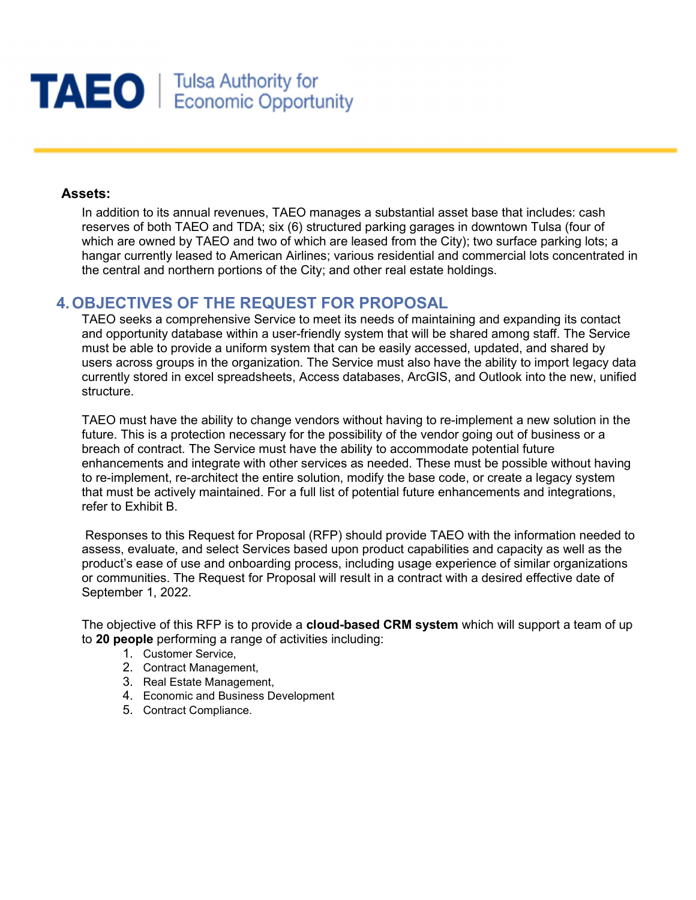

#### Assets:

In addition to its annual revenues, TAEO manages a substantial asset base that includes: cash reserves of both TAEO and TDA; six (6) structured parking garages in downtown Tulsa (four of which are owned by TAEO and two of which are leased from the City); two surface parking lots; a hangar currently leased to American Airlines; various residential and commercial lots concentrated in the central and northern portions of the City; and other real estate holdings.

#### 4. OBJECTIVES OF THE REQUEST FOR PROPOSAL

TAEO seeks a comprehensive Service to meet its needs of maintaining and expanding its contact and opportunity database within a user-friendly system that will be shared among staff. The Service must be able to provide a uniform system that can be easily accessed, updated, and shared by users across groups in the organization. The Service must also have the ability to import legacy data currently stored in excel spreadsheets, Access databases, ArcGIS, and Outlook into the new, unified structure.

TAEO must have the ability to change vendors without having to re-implement a new solution in the future. This is a protection necessary for the possibility of the vendor going out of business or a breach of contract. The Service must have the ability to accommodate potential future enhancements and integrate with other services as needed. These must be possible without having to re-implement, re-architect the entire solution, modify the base code, or create a legacy system that must be actively maintained. For a full list of potential future enhancements and integrations, refer to Exhibit B.

 Responses to this Request for Proposal (RFP) should provide TAEO with the information needed to assess, evaluate, and select Services based upon product capabilities and capacity as well as the product's ease of use and onboarding process, including usage experience of similar organizations or communities. The Request for Proposal will result in a contract with a desired effective date of September 1, 2022.

The objective of this RFP is to provide a cloud-based CRM system which will support a team of up to 20 people performing a range of activities including:

- 1. Customer Service,
- 2. Contract Management,
- 3. Real Estate Management,
- 4. Economic and Business Development
- 5. Contract Compliance.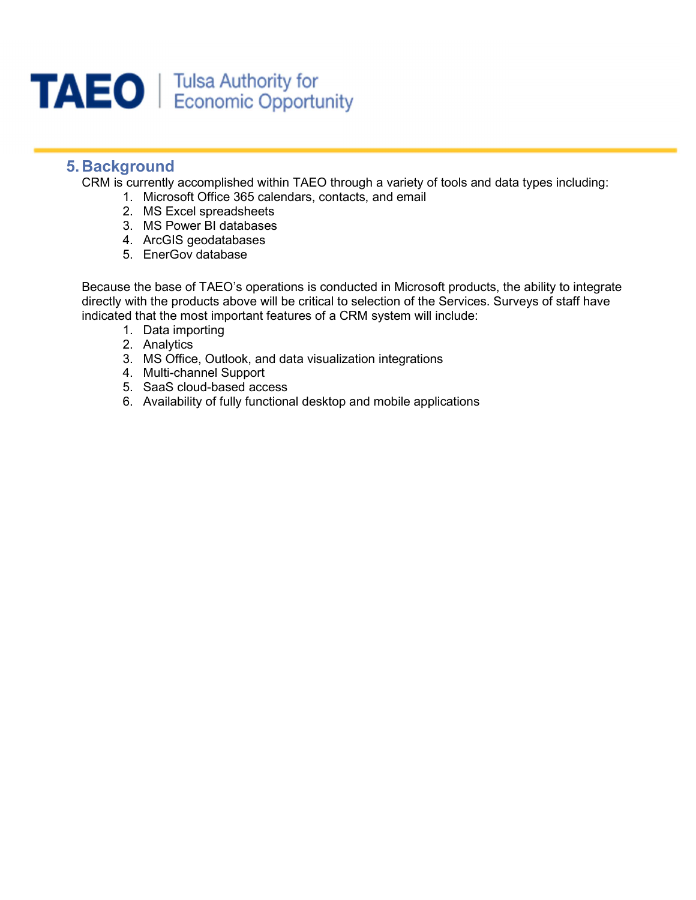

### 5. Background

CRM is currently accomplished within TAEO through a variety of tools and data types including:

- 1. Microsoft Office 365 calendars, contacts, and email
- 2. MS Excel spreadsheets
- 3. MS Power BI databases
- 4. ArcGIS geodatabases
- 5. EnerGov database

Because the base of TAEO's operations is conducted in Microsoft products, the ability to integrate directly with the products above will be critical to selection of the Services. Surveys of staff have indicated that the most important features of a CRM system will include:

- 1. Data importing
- 2. Analytics
- 3. MS Office, Outlook, and data visualization integrations
- 4. Multi-channel Support
- 5. SaaS cloud-based access
- 6. Availability of fully functional desktop and mobile applications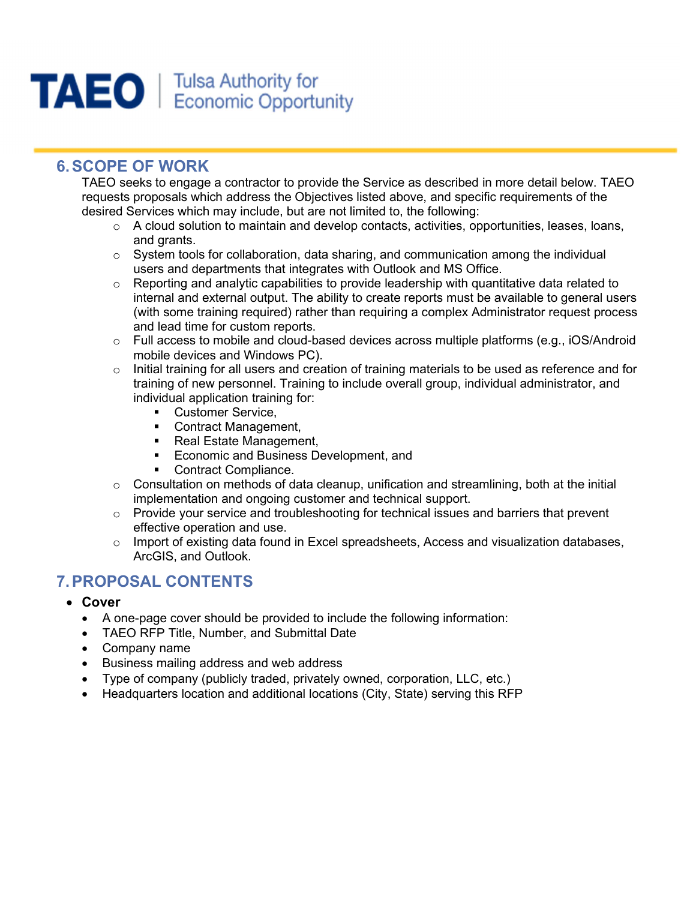

# 6. SCOPE OF WORK

TAEO seeks to engage a contractor to provide the Service as described in more detail below. TAEO requests proposals which address the Objectives listed above, and specific requirements of the desired Services which may include, but are not limited to, the following:

- $\circ$  A cloud solution to maintain and develop contacts, activities, opportunities, leases, loans, and grants.
- $\circ$  System tools for collaboration, data sharing, and communication among the individual users and departments that integrates with Outlook and MS Office.
- $\circ$  Reporting and analytic capabilities to provide leadership with quantitative data related to internal and external output. The ability to create reports must be available to general users (with some training required) rather than requiring a complex Administrator request process and lead time for custom reports.
- $\circ$  Full access to mobile and cloud-based devices across multiple platforms (e.g., iOS/Android mobile devices and Windows PC).
- o Initial training for all users and creation of training materials to be used as reference and for training of new personnel. Training to include overall group, individual administrator, and individual application training for:
	- **Customer Service,**
	- Contract Management,
	- Real Estate Management,
	- **Economic and Business Development, and**
	- **Contract Compliance.**
- $\circ$  Consultation on methods of data cleanup, unification and streamlining, both at the initial implementation and ongoing customer and technical support.
- $\circ$  Provide your service and troubleshooting for technical issues and barriers that prevent effective operation and use.
- $\circ$  Import of existing data found in Excel spreadsheets, Access and visualization databases, ArcGIS, and Outlook.

# 7. PROPOSAL CONTENTS

- Cover
	- A one-page cover should be provided to include the following information:
	- TAEO RFP Title, Number, and Submittal Date
	- Company name
	- Business mailing address and web address
	- Type of company (publicly traded, privately owned, corporation, LLC, etc.)
	- Headquarters location and additional locations (City, State) serving this RFP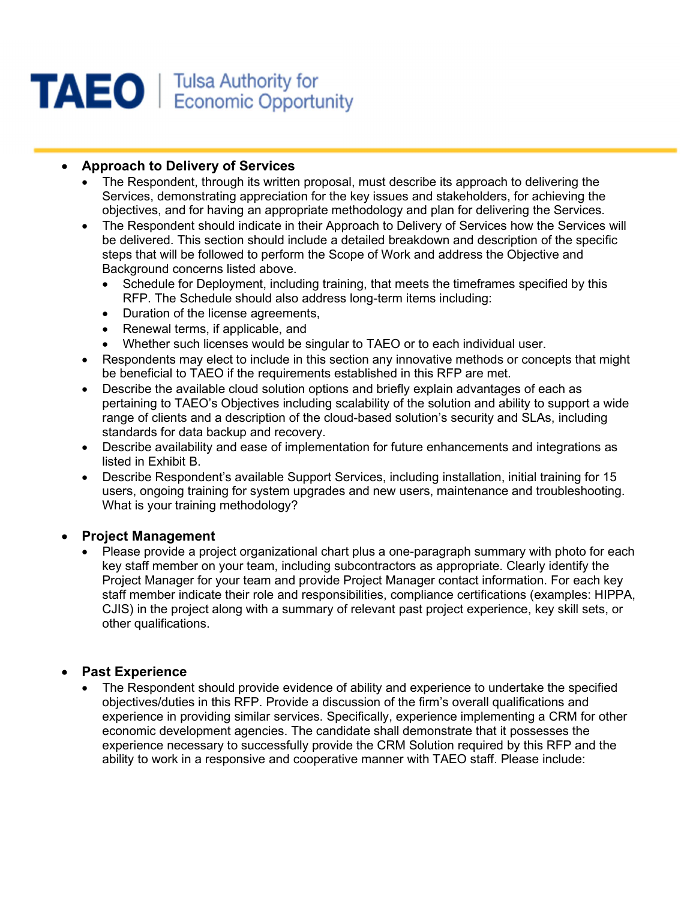

#### • Approach to Delivery of Services

- The Respondent, through its written proposal, must describe its approach to delivering the Services, demonstrating appreciation for the key issues and stakeholders, for achieving the objectives, and for having an appropriate methodology and plan for delivering the Services.
- The Respondent should indicate in their Approach to Delivery of Services how the Services will be delivered. This section should include a detailed breakdown and description of the specific steps that will be followed to perform the Scope of Work and address the Objective and Background concerns listed above.
	- Schedule for Deployment, including training, that meets the timeframes specified by this RFP. The Schedule should also address long-term items including:
	- Duration of the license agreements,
	- Renewal terms, if applicable, and
	- Whether such licenses would be singular to TAEO or to each individual user.
- Respondents may elect to include in this section any innovative methods or concepts that might be beneficial to TAEO if the requirements established in this RFP are met.
- Describe the available cloud solution options and briefly explain advantages of each as pertaining to TAEO's Objectives including scalability of the solution and ability to support a wide range of clients and a description of the cloud-based solution's security and SLAs, including standards for data backup and recovery.
- Describe availability and ease of implementation for future enhancements and integrations as listed in Exhibit B.
- Describe Respondent's available Support Services, including installation, initial training for 15 users, ongoing training for system upgrades and new users, maintenance and troubleshooting. What is your training methodology?

#### Project Management

 Please provide a project organizational chart plus a one-paragraph summary with photo for each key staff member on your team, including subcontractors as appropriate. Clearly identify the Project Manager for your team and provide Project Manager contact information. For each key staff member indicate their role and responsibilities, compliance certifications (examples: HIPPA, CJIS) in the project along with a summary of relevant past project experience, key skill sets, or other qualifications.

#### Past Experience

 The Respondent should provide evidence of ability and experience to undertake the specified objectives/duties in this RFP. Provide a discussion of the firm's overall qualifications and experience in providing similar services. Specifically, experience implementing a CRM for other economic development agencies. The candidate shall demonstrate that it possesses the experience necessary to successfully provide the CRM Solution required by this RFP and the ability to work in a responsive and cooperative manner with TAEO staff. Please include: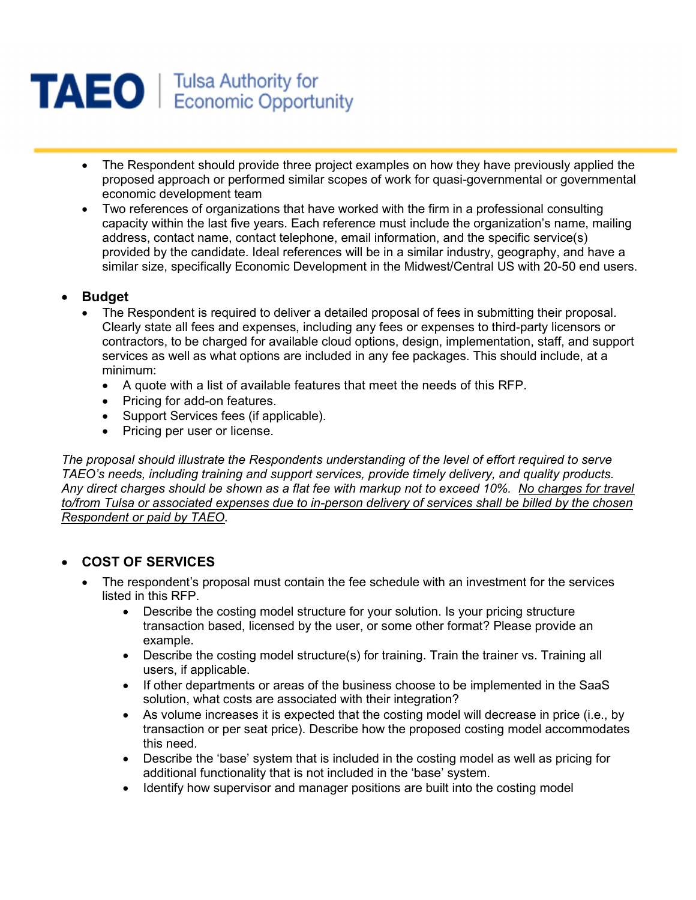

- The Respondent should provide three project examples on how they have previously applied the proposed approach or performed similar scopes of work for quasi-governmental or governmental economic development team
- Two references of organizations that have worked with the firm in a professional consulting capacity within the last five years. Each reference must include the organization's name, mailing address, contact name, contact telephone, email information, and the specific service(s) provided by the candidate. Ideal references will be in a similar industry, geography, and have a similar size, specifically Economic Development in the Midwest/Central US with 20-50 end users.

#### Budget

- The Respondent is required to deliver a detailed proposal of fees in submitting their proposal. Clearly state all fees and expenses, including any fees or expenses to third-party licensors or contractors, to be charged for available cloud options, design, implementation, staff, and support services as well as what options are included in any fee packages. This should include, at a minimum:
	- A quote with a list of available features that meet the needs of this RFP.
	- Pricing for add-on features.
	- Support Services fees (if applicable).
	- Pricing per user or license.

The proposal should illustrate the Respondents understanding of the level of effort required to serve TAEO's needs, including training and support services, provide timely delivery, and quality products. Any direct charges should be shown as a flat fee with markup not to exceed 10%. No charges for travel to/from Tulsa or associated expenses due to in-person delivery of services shall be billed by the chosen Respondent or paid by TAEO.

#### COST OF SERVICES

- The respondent's proposal must contain the fee schedule with an investment for the services listed in this RFP.
	- Describe the costing model structure for your solution. Is your pricing structure transaction based, licensed by the user, or some other format? Please provide an example.
	- Describe the costing model structure(s) for training. Train the trainer vs. Training all users, if applicable.
	- If other departments or areas of the business choose to be implemented in the SaaS solution, what costs are associated with their integration?
	- As volume increases it is expected that the costing model will decrease in price (i.e., by transaction or per seat price). Describe how the proposed costing model accommodates this need.
	- Describe the 'base' system that is included in the costing model as well as pricing for additional functionality that is not included in the 'base' system.
	- Identify how supervisor and manager positions are built into the costing model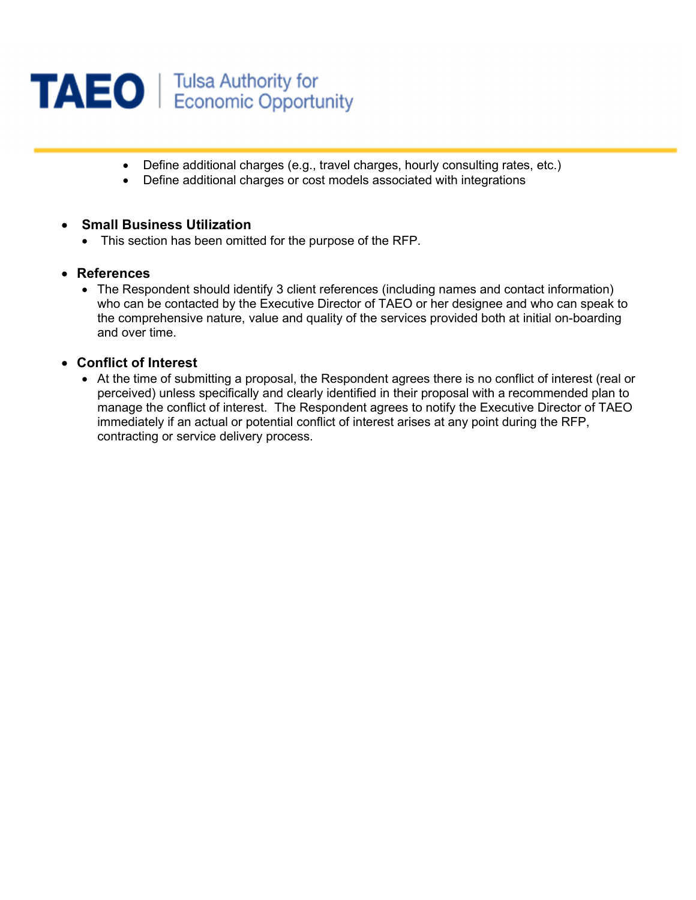

- Define additional charges (e.g., travel charges, hourly consulting rates, etc.)
- Define additional charges or cost models associated with integrations

#### Small Business Utilization

This section has been omitted for the purpose of the RFP.

#### References

• The Respondent should identify 3 client references (including names and contact information) who can be contacted by the Executive Director of TAEO or her designee and who can speak to the comprehensive nature, value and quality of the services provided both at initial on-boarding and over time.

#### Conflict of Interest

 At the time of submitting a proposal, the Respondent agrees there is no conflict of interest (real or perceived) unless specifically and clearly identified in their proposal with a recommended plan to manage the conflict of interest. The Respondent agrees to notify the Executive Director of TAEO immediately if an actual or potential conflict of interest arises at any point during the RFP, contracting or service delivery process.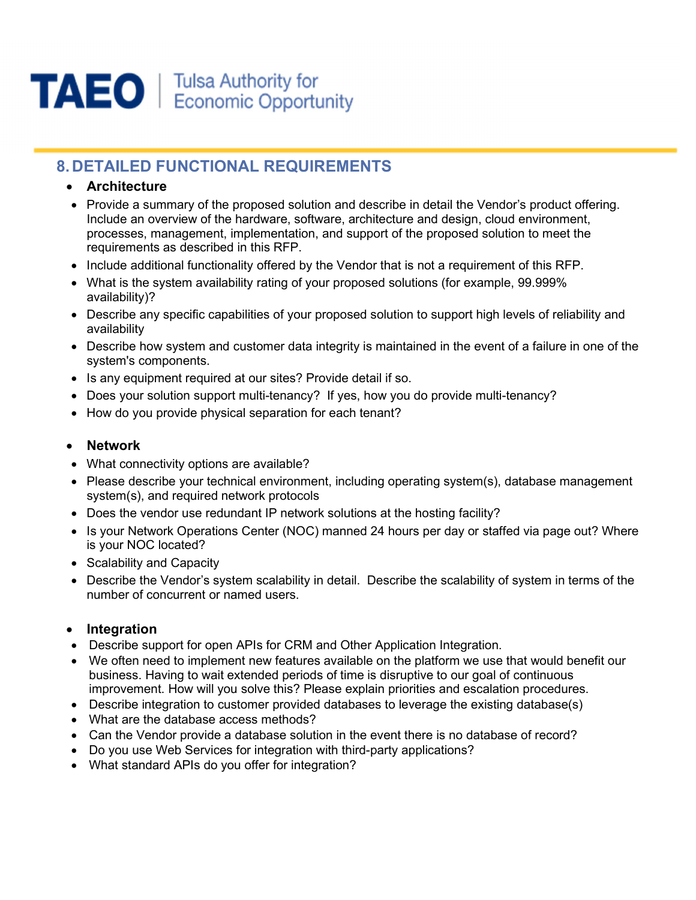

# 8. DETAILED FUNCTIONAL REQUIREMENTS

#### Architecture

- Provide a summary of the proposed solution and describe in detail the Vendor's product offering. Include an overview of the hardware, software, architecture and design, cloud environment, processes, management, implementation, and support of the proposed solution to meet the requirements as described in this RFP.
- Include additional functionality offered by the Vendor that is not a requirement of this RFP.
- What is the system availability rating of your proposed solutions (for example, 99.999% availability)?
- Describe any specific capabilities of your proposed solution to support high levels of reliability and availability
- Describe how system and customer data integrity is maintained in the event of a failure in one of the system's components.
- Is any equipment required at our sites? Provide detail if so.
- Does your solution support multi-tenancy? If yes, how you do provide multi-tenancy?
- How do you provide physical separation for each tenant?

#### Network

- What connectivity options are available?
- Please describe your technical environment, including operating system(s), database management system(s), and required network protocols
- Does the vendor use redundant IP network solutions at the hosting facility?
- Is your Network Operations Center (NOC) manned 24 hours per day or staffed via page out? Where is your NOC located?
- Scalability and Capacity
- Describe the Vendor's system scalability in detail. Describe the scalability of system in terms of the number of concurrent or named users.

#### • Integration

- Describe support for open APIs for CRM and Other Application Integration.
- We often need to implement new features available on the platform we use that would benefit our business. Having to wait extended periods of time is disruptive to our goal of continuous improvement. How will you solve this? Please explain priorities and escalation procedures.
- Describe integration to customer provided databases to leverage the existing database(s)
- What are the database access methods?
- Can the Vendor provide a database solution in the event there is no database of record?
- Do you use Web Services for integration with third-party applications?
- What standard APIs do you offer for integration?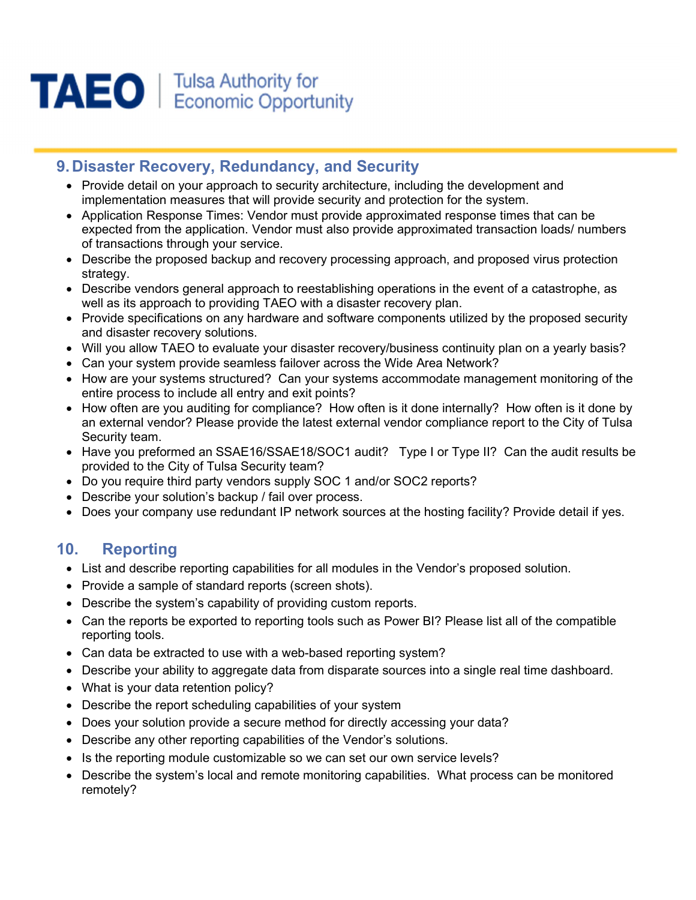

# 9. Disaster Recovery, Redundancy, and Security

- Provide detail on your approach to security architecture, including the development and implementation measures that will provide security and protection for the system.
- Application Response Times: Vendor must provide approximated response times that can be expected from the application. Vendor must also provide approximated transaction loads/ numbers of transactions through your service.
- Describe the proposed backup and recovery processing approach, and proposed virus protection strategy.
- Describe vendors general approach to reestablishing operations in the event of a catastrophe, as well as its approach to providing TAEO with a disaster recovery plan.
- Provide specifications on any hardware and software components utilized by the proposed security and disaster recovery solutions.
- Will you allow TAEO to evaluate your disaster recovery/business continuity plan on a yearly basis?
- Can your system provide seamless failover across the Wide Area Network?
- How are your systems structured? Can your systems accommodate management monitoring of the entire process to include all entry and exit points?
- How often are you auditing for compliance? How often is it done internally? How often is it done by an external vendor? Please provide the latest external vendor compliance report to the City of Tulsa Security team.
- Have you preformed an SSAE16/SSAE18/SOC1 audit? Type I or Type II? Can the audit results be provided to the City of Tulsa Security team?
- Do you require third party vendors supply SOC 1 and/or SOC2 reports?
- Describe your solution's backup / fail over process.
- Does your company use redundant IP network sources at the hosting facility? Provide detail if yes.

# 10. Reporting

- List and describe reporting capabilities for all modules in the Vendor's proposed solution.
- Provide a sample of standard reports (screen shots).
- Describe the system's capability of providing custom reports.
- Can the reports be exported to reporting tools such as Power BI? Please list all of the compatible reporting tools.
- Can data be extracted to use with a web-based reporting system?
- Describe your ability to aggregate data from disparate sources into a single real time dashboard.
- What is your data retention policy?
- Describe the report scheduling capabilities of your system
- Does your solution provide a secure method for directly accessing your data?
- Describe any other reporting capabilities of the Vendor's solutions.
- Is the reporting module customizable so we can set our own service levels?
- Describe the system's local and remote monitoring capabilities. What process can be monitored remotely?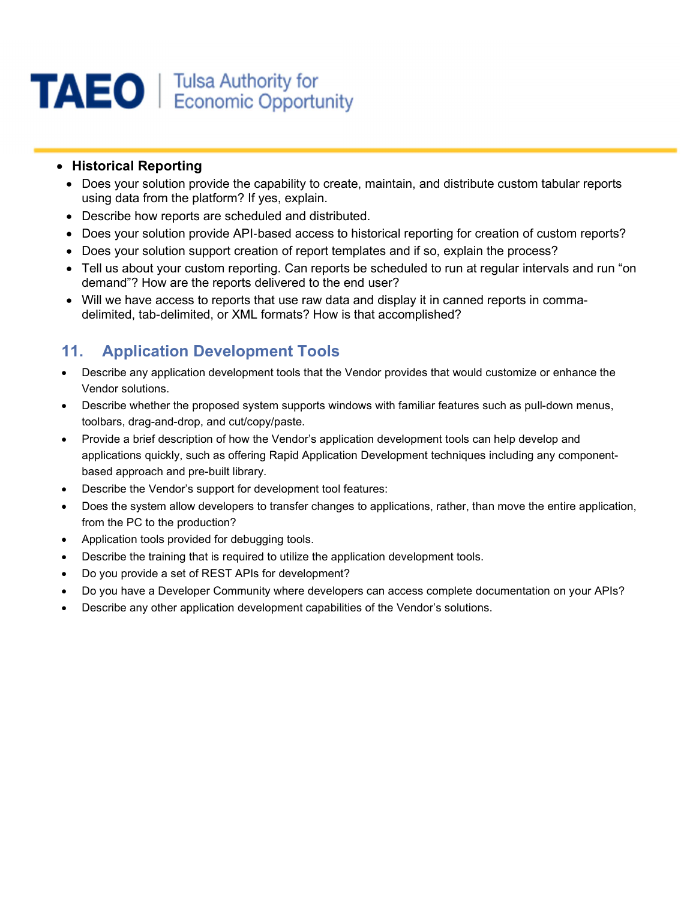

#### • Historical Reporting

- Does your solution provide the capability to create, maintain, and distribute custom tabular reports using data from the platform? If yes, explain.
- Describe how reports are scheduled and distributed.
- Does your solution provide API-based access to historical reporting for creation of custom reports?
- Does your solution support creation of report templates and if so, explain the process?
- Tell us about your custom reporting. Can reports be scheduled to run at regular intervals and run "on demand"? How are the reports delivered to the end user?
- Will we have access to reports that use raw data and display it in canned reports in commadelimited, tab-delimited, or XML formats? How is that accomplished?

# 11. Application Development Tools

- Describe any application development tools that the Vendor provides that would customize or enhance the Vendor solutions.
- Describe whether the proposed system supports windows with familiar features such as pull-down menus, toolbars, drag-and-drop, and cut/copy/paste.
- Provide a brief description of how the Vendor's application development tools can help develop and applications quickly, such as offering Rapid Application Development techniques including any componentbased approach and pre-built library.
- Describe the Vendor's support for development tool features:
- Does the system allow developers to transfer changes to applications, rather, than move the entire application, from the PC to the production?
- Application tools provided for debugging tools.
- Describe the training that is required to utilize the application development tools.
- Do you provide a set of REST APIs for development?
- Do you have a Developer Community where developers can access complete documentation on your APIs?
- Describe any other application development capabilities of the Vendor's solutions.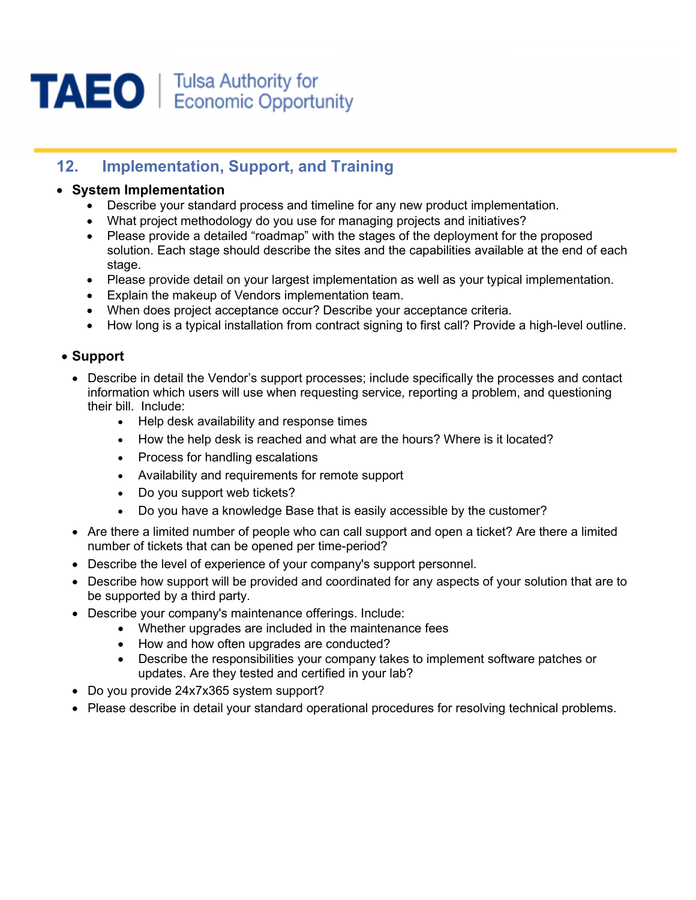

# 12. Implementation, Support, and Training

#### System Implementation

- Describe your standard process and timeline for any new product implementation.
- What project methodology do you use for managing projects and initiatives?
- Please provide a detailed "roadmap" with the stages of the deployment for the proposed solution. Each stage should describe the sites and the capabilities available at the end of each stage.
- Please provide detail on your largest implementation as well as your typical implementation.
- Explain the makeup of Vendors implementation team.
- When does project acceptance occur? Describe your acceptance criteria.
- How long is a typical installation from contract signing to first call? Provide a high-level outline.

#### Support

- Describe in detail the Vendor's support processes: include specifically the processes and contact information which users will use when requesting service, reporting a problem, and questioning their bill. Include:
	- Help desk availability and response times
	- How the help desk is reached and what are the hours? Where is it located?
	- Process for handling escalations
	- Availability and requirements for remote support
	- Do you support web tickets?
	- Do you have a knowledge Base that is easily accessible by the customer?
- Are there a limited number of people who can call support and open a ticket? Are there a limited number of tickets that can be opened per time-period?
- Describe the level of experience of your company's support personnel.
- Describe how support will be provided and coordinated for any aspects of your solution that are to be supported by a third party.
- Describe your company's maintenance offerings. Include:
	- Whether upgrades are included in the maintenance fees
	- How and how often upgrades are conducted?
	- Describe the responsibilities your company takes to implement software patches or updates. Are they tested and certified in your lab?
- Do you provide 24x7x365 system support?
- Please describe in detail your standard operational procedures for resolving technical problems.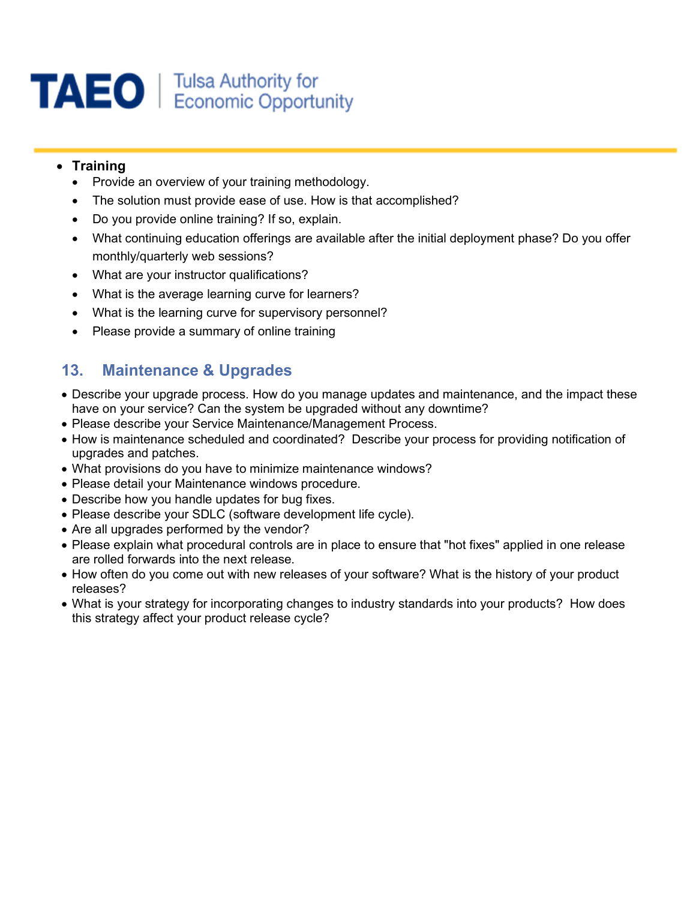

#### • Training

- Provide an overview of your training methodology.
- The solution must provide ease of use. How is that accomplished?
- Do you provide online training? If so, explain.
- What continuing education offerings are available after the initial deployment phase? Do you offer monthly/quarterly web sessions?
- What are your instructor qualifications?
- What is the average learning curve for learners?
- What is the learning curve for supervisory personnel?
- Please provide a summary of online training

# 13. Maintenance & Upgrades

- Describe your upgrade process. How do you manage updates and maintenance, and the impact these have on your service? Can the system be upgraded without any downtime?
- Please describe your Service Maintenance/Management Process.
- How is maintenance scheduled and coordinated? Describe your process for providing notification of upgrades and patches.
- What provisions do you have to minimize maintenance windows?
- Please detail your Maintenance windows procedure.
- Describe how you handle updates for bug fixes.
- Please describe your SDLC (software development life cycle).
- Are all upgrades performed by the vendor?
- Please explain what procedural controls are in place to ensure that "hot fixes" applied in one release are rolled forwards into the next release.
- How often do you come out with new releases of your software? What is the history of your product releases?
- What is your strategy for incorporating changes to industry standards into your products? How does this strategy affect your product release cycle?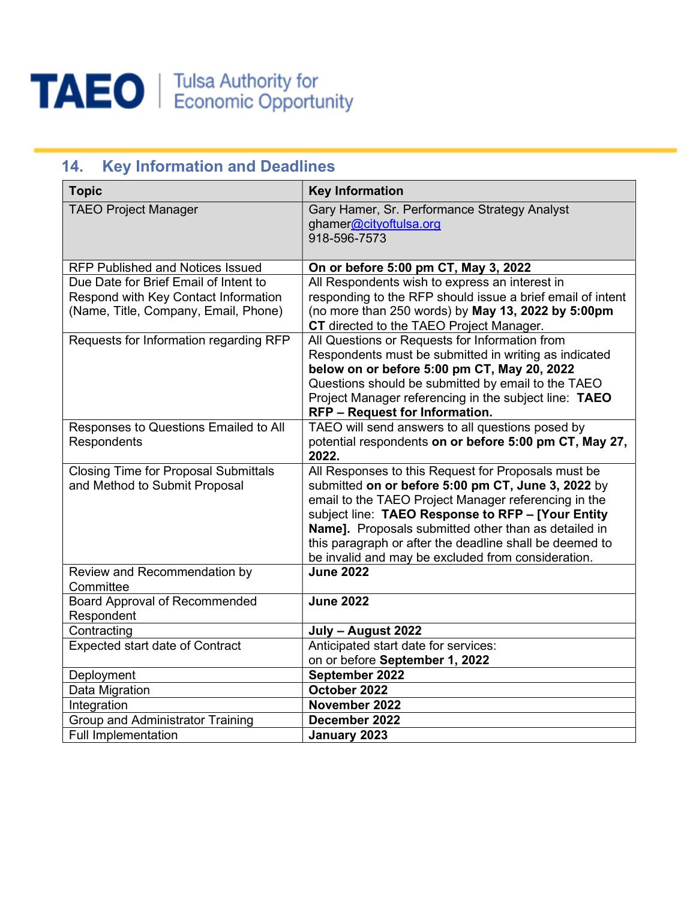

| <b>Key Information and Deadlines</b><br>14.                                                                           |                                                                                                                                                                                                                                                                                                                                                                                                 |  |
|-----------------------------------------------------------------------------------------------------------------------|-------------------------------------------------------------------------------------------------------------------------------------------------------------------------------------------------------------------------------------------------------------------------------------------------------------------------------------------------------------------------------------------------|--|
| <b>Topic</b>                                                                                                          | <b>Key Information</b>                                                                                                                                                                                                                                                                                                                                                                          |  |
| <b>TAEO Project Manager</b>                                                                                           | Gary Hamer, Sr. Performance Strategy Analyst<br>ghamer@cityoftulsa.org<br>918-596-7573                                                                                                                                                                                                                                                                                                          |  |
| <b>RFP Published and Notices Issued</b>                                                                               | On or before 5:00 pm CT, May 3, 2022                                                                                                                                                                                                                                                                                                                                                            |  |
| Due Date for Brief Email of Intent to<br>Respond with Key Contact Information<br>(Name, Title, Company, Email, Phone) | All Respondents wish to express an interest in<br>responding to the RFP should issue a brief email of intent<br>(no more than 250 words) by May 13, 2022 by 5:00pm<br>CT directed to the TAEO Project Manager.                                                                                                                                                                                  |  |
| Requests for Information regarding RFP                                                                                | All Questions or Requests for Information from<br>Respondents must be submitted in writing as indicated<br>below on or before 5:00 pm CT, May 20, 2022<br>Questions should be submitted by email to the TAEO<br>Project Manager referencing in the subject line: TAEO<br><b>RFP - Request for Information.</b>                                                                                  |  |
| Responses to Questions Emailed to All<br>Respondents                                                                  | TAEO will send answers to all questions posed by<br>potential respondents on or before 5:00 pm CT, May 27,<br>2022.                                                                                                                                                                                                                                                                             |  |
| <b>Closing Time for Proposal Submittals</b><br>and Method to Submit Proposal                                          | All Responses to this Request for Proposals must be<br>submitted on or before 5:00 pm CT, June 3, 2022 by<br>email to the TAEO Project Manager referencing in the<br>subject line: TAEO Response to RFP - [Your Entity<br>Name]. Proposals submitted other than as detailed in<br>this paragraph or after the deadline shall be deemed to<br>be invalid and may be excluded from consideration. |  |
| Review and Recommendation by<br>Committee                                                                             | <b>June 2022</b>                                                                                                                                                                                                                                                                                                                                                                                |  |
| <b>Board Approval of Recommended</b><br>Respondent                                                                    | <b>June 2022</b>                                                                                                                                                                                                                                                                                                                                                                                |  |
| Contracting                                                                                                           | July - August 2022                                                                                                                                                                                                                                                                                                                                                                              |  |
| <b>Expected start date of Contract</b>                                                                                | Anticipated start date for services:<br>on or before September 1, 2022                                                                                                                                                                                                                                                                                                                          |  |
| Deployment                                                                                                            | September 2022                                                                                                                                                                                                                                                                                                                                                                                  |  |
| Data Migration                                                                                                        | October 2022                                                                                                                                                                                                                                                                                                                                                                                    |  |
| Integration                                                                                                           | November 2022                                                                                                                                                                                                                                                                                                                                                                                   |  |
| Group and Administrator Training                                                                                      | December 2022                                                                                                                                                                                                                                                                                                                                                                                   |  |
| <b>Full Implementation</b>                                                                                            | January 2023                                                                                                                                                                                                                                                                                                                                                                                    |  |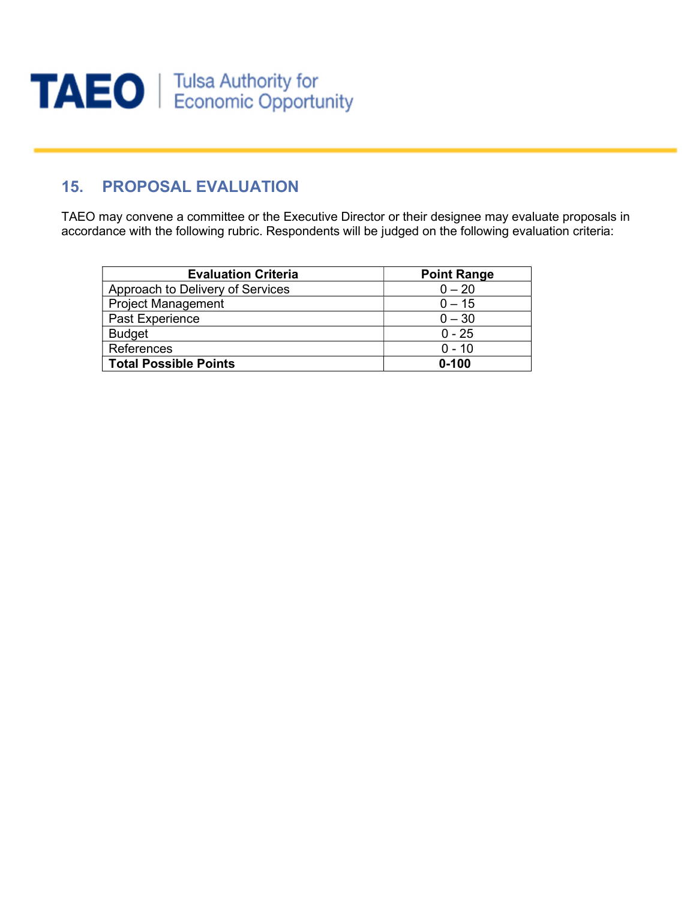

# 15. PROPOSAL EVALUATION

TAEO may convene a committee or the Executive Director or their designee may evaluate proposals in accordance with the following rubric. Respondents will be judged on the following evaluation criteria:

| <b>Evaluation Criteria</b>       | <b>Point Range</b> |
|----------------------------------|--------------------|
| Approach to Delivery of Services | $0 - 20$           |
| <b>Project Management</b>        | $0 - 15$           |
| Past Experience                  | $0 - 30$           |
| <b>Budget</b>                    | $0 - 25$           |
| References                       | $0 - 10$           |
| <b>Total Possible Points</b>     | $0 - 100$          |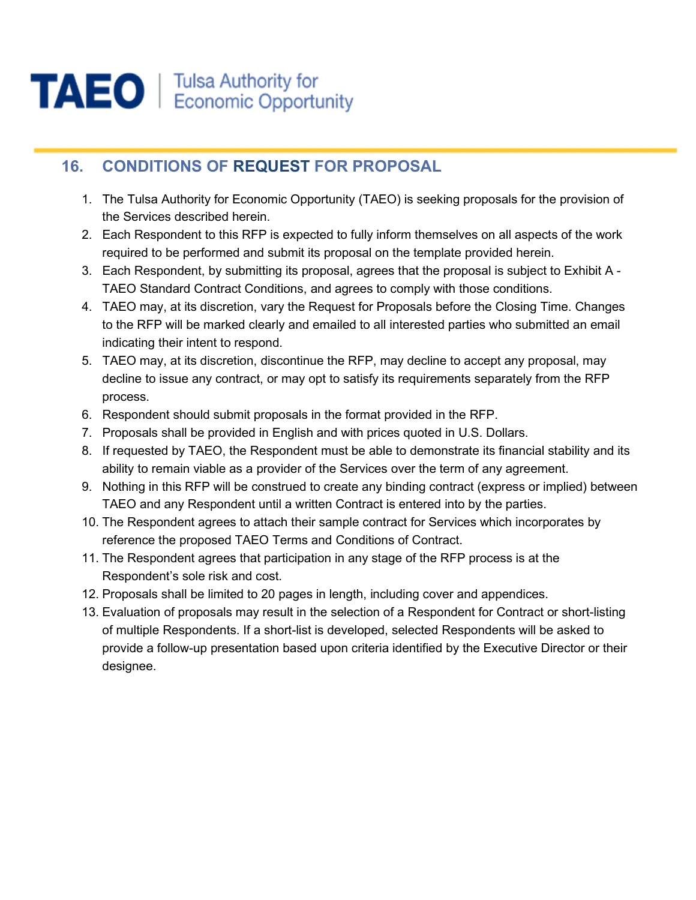

# 16. CONDITIONS OF REQUEST FOR PROPOSAL

- 1. The Tulsa Authority for Economic Opportunity (TAEO) is seeking proposals for the provision of the Services described herein.
- 2. Each Respondent to this RFP is expected to fully inform themselves on all aspects of the work required to be performed and submit its proposal on the template provided herein.
- 3. Each Respondent, by submitting its proposal, agrees that the proposal is subject to Exhibit A TAEO Standard Contract Conditions, and agrees to comply with those conditions.
- 4. TAEO may, at its discretion, vary the Request for Proposals before the Closing Time. Changes to the RFP will be marked clearly and emailed to all interested parties who submitted an email indicating their intent to respond.
- 5. TAEO may, at its discretion, discontinue the RFP, may decline to accept any proposal, may decline to issue any contract, or may opt to satisfy its requirements separately from the RFP process.
- 6. Respondent should submit proposals in the format provided in the RFP.
- 7. Proposals shall be provided in English and with prices quoted in U.S. Dollars.
- 8. If requested by TAEO, the Respondent must be able to demonstrate its financial stability and its ability to remain viable as a provider of the Services over the term of any agreement.
- 9. Nothing in this RFP will be construed to create any binding contract (express or implied) between TAEO and any Respondent until a written Contract is entered into by the parties.
- 10. The Respondent agrees to attach their sample contract for Services which incorporates by reference the proposed TAEO Terms and Conditions of Contract.
- 11. The Respondent agrees that participation in any stage of the RFP process is at the Respondent's sole risk and cost.
- 12. Proposals shall be limited to 20 pages in length, including cover and appendices.
- 13. Evaluation of proposals may result in the selection of a Respondent for Contract or short-listing of multiple Respondents. If a short-list is developed, selected Respondents will be asked to provide a follow-up presentation based upon criteria identified by the Executive Director or their designee.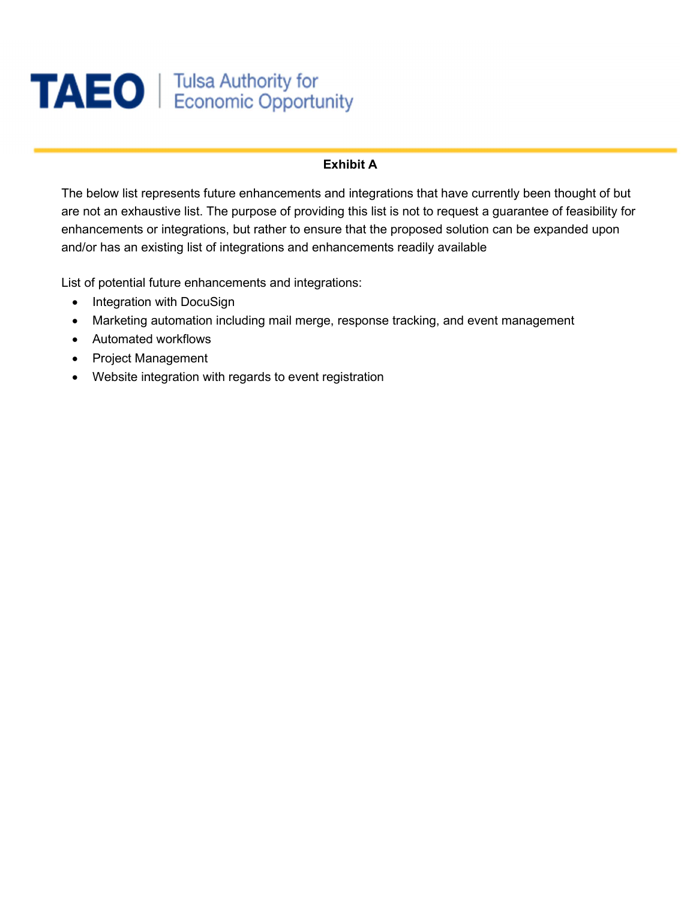

#### Exhibit A

The below list represents future enhancements and integrations that have currently been thought of but are not an exhaustive list. The purpose of providing this list is not to request a guarantee of feasibility for enhancements or integrations, but rather to ensure that the proposed solution can be expanded upon and/or has an existing list of integrations and enhancements readily available

List of potential future enhancements and integrations:

- Integration with DocuSign
- Marketing automation including mail merge, response tracking, and event management
- Automated workflows
- Project Management
- Website integration with regards to event registration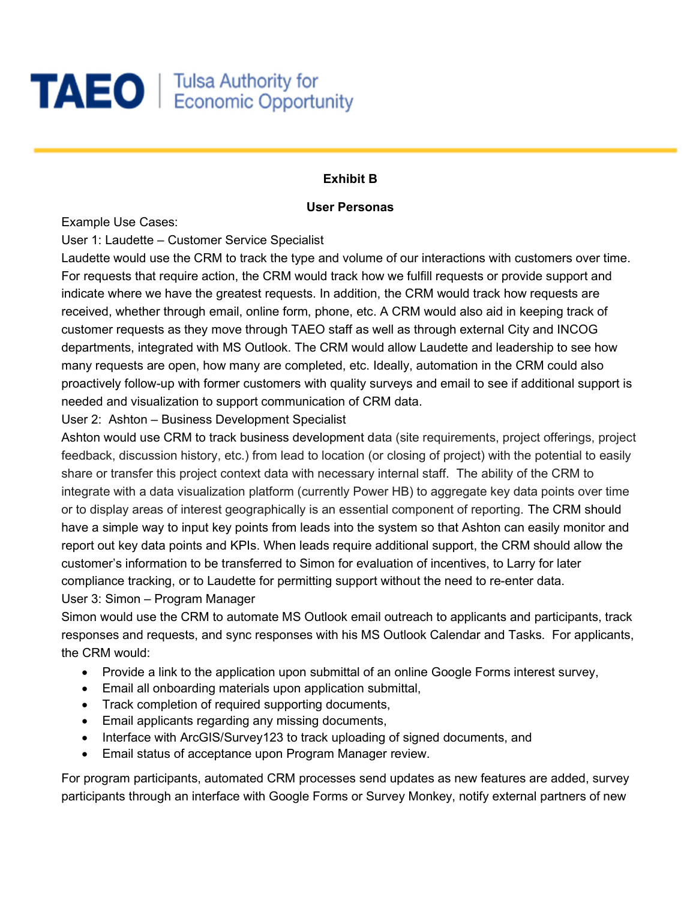# **TAEO** | Tulsa Authority for

#### Exhibit B

#### User Personas

Example Use Cases:

User 1: Laudette – Customer Service Specialist

Laudette would use the CRM to track the type and volume of our interactions with customers over time. For requests that require action, the CRM would track how we fulfill requests or provide support and indicate where we have the greatest requests. In addition, the CRM would track how requests are received, whether through email, online form, phone, etc. A CRM would also aid in keeping track of customer requests as they move through TAEO staff as well as through external City and INCOG departments, integrated with MS Outlook. The CRM would allow Laudette and leadership to see how many requests are open, how many are completed, etc. Ideally, automation in the CRM could also proactively follow-up with former customers with quality surveys and email to see if additional support is needed and visualization to support communication of CRM data.

User 2: Ashton – Business Development Specialist

Ashton would use CRM to track business development data (site requirements, project offerings, project feedback, discussion history, etc.) from lead to location (or closing of project) with the potential to easily share or transfer this project context data with necessary internal staff. The ability of the CRM to integrate with a data visualization platform (currently Power HB) to aggregate key data points over time or to display areas of interest geographically is an essential component of reporting. The CRM should have a simple way to input key points from leads into the system so that Ashton can easily monitor and report out key data points and KPIs. When leads require additional support, the CRM should allow the customer's information to be transferred to Simon for evaluation of incentives, to Larry for later compliance tracking, or to Laudette for permitting support without the need to re-enter data. User 3: Simon – Program Manager

Simon would use the CRM to automate MS Outlook email outreach to applicants and participants, track responses and requests, and sync responses with his MS Outlook Calendar and Tasks. For applicants, the CRM would:

- Provide a link to the application upon submittal of an online Google Forms interest survey,
- Email all onboarding materials upon application submittal,
- Track completion of required supporting documents,
- Email applicants regarding any missing documents,
- Interface with ArcGIS/Survey123 to track uploading of signed documents, and
- Email status of acceptance upon Program Manager review.

For program participants, automated CRM processes send updates as new features are added, survey participants through an interface with Google Forms or Survey Monkey, notify external partners of new